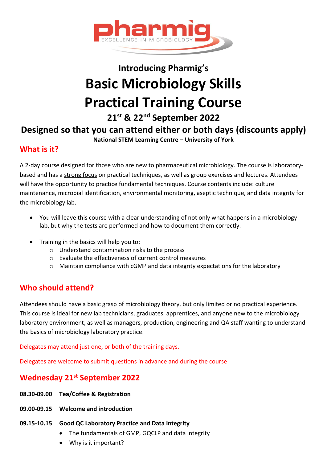

# **Introducing Pharmig's Basic Microbiology Skills Practical Training Course**

**21st & 22nd September 2022**

# **Designed so that you can attend either or both days (discounts apply)**

**National STEM Learning Centre – University of York**

## **What is it?**

A 2-day course designed for those who are new to pharmaceutical microbiology. The course is laboratorybased and has a strong focus on practical techniques, as well as group exercises and lectures. Attendees will have the opportunity to practice fundamental techniques. Course contents include: culture maintenance, microbial identification, environmental monitoring, aseptic technique, and data integrity for the microbiology lab.

- You will leave this course with a clear understanding of not only what happens in a microbiology lab, but why the tests are performed and how to document them correctly.
- Training in the basics will help you to:
	- o Understand contamination risks to the process
	- o Evaluate the effectiveness of current control measures
	- o Maintain compliance with cGMP and data integrity expectations for the laboratory

# **Who should attend?**

Attendees should have a basic grasp of microbiology theory, but only limited or no practical experience. This course is ideal for new lab technicians, graduates, apprentices, and anyone new to the microbiology laboratory environment, as well as managers, production, engineering and QA staff wanting to understand the basics of microbiology laboratory practice.

Delegates may attend just one, or both of the training days.

Delegates are welcome to submit questions in advance and during the course

# **Wednesday 21st September 2022**

- **08.30-09.00 Tea/Coffee & Registration**
- **09.00-09.15 Welcome and introduction**
- **09.15-10.15 Good QC Laboratory Practice and Data Integrity**
	- The fundamentals of GMP, GQCLP and data integrity
	- Why is it important?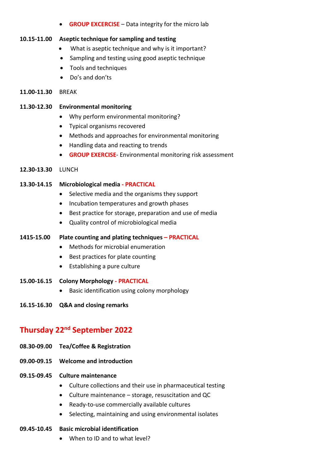• **GROUP EXCERCISE** – Data integrity for the micro lab

#### **10.15-11.00 Aseptic technique for sampling and testing**

- What is aseptic technique and why is it important?
- Sampling and testing using good aseptic technique
- Tools and techniques
- Do's and don'ts

#### **11.00-11.30** BREAK

#### **11.30-12.30 Environmental monitoring**

- Why perform environmental monitoring?
- Typical organisms recovered
- Methods and approaches for environmental monitoring
- Handling data and reacting to trends
- **GROUP EXERCISE** Environmental monitoring risk assessment

#### **12.30-13.30** LUNCH

#### **13.30-14.15 Microbiological media - PRACTICAL**

- Selective media and the organisms they support
- Incubation temperatures and growth phases
- Best practice for storage, preparation and use of media
- Quality control of microbiological media

#### **1415-15.00 Plate counting and plating techniques – PRACTICAL**

- Methods for microbial enumeration
- Best practices for plate counting
- Establishing a pure culture
- **15.00-16.15 Colony Morphology - PRACTICAL**
	- Basic identification using colony morphology
- **16.15-16.30 Q&A and closing remarks**

# **Thursday 22nd September 2022**

- **08.30-09.00 Tea/Coffee & Registration**
- **09.00-09.15 Welcome and introduction**
- **09.15-09.45 Culture maintenance**
	- Culture collections and their use in pharmaceutical testing
	- Culture maintenance storage, resuscitation and QC
	- Ready-to-use commercially available cultures
	- Selecting, maintaining and using environmental isolates

# **09.45-10.45 Basic microbial identification**

• When to ID and to what level?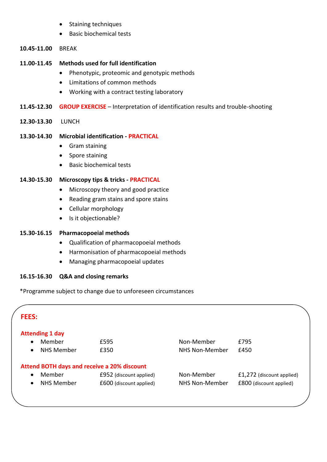- Staining techniques
- Basic biochemical tests
- **10.45-11.00** BREAK

#### **11.00-11.45 Methods used for full identification**

- Phenotypic, proteomic and genotypic methods
- Limitations of common methods
- Working with a contract testing laboratory
- **11.45-12.30 GROUP EXERCISE**  Interpretation of identification results and trouble-shooting
- **12.30-13.30** LUNCH

#### **13.30-14.30 Microbial identification - PRACTICAL**

- Gram staining
- Spore staining
- Basic biochemical tests

#### **14.30-15.30 Microscopy tips & tricks - PRACTICAL**

- Microscopy theory and good practice
- Reading gram stains and spore stains
- Cellular morphology
- Is it objectionable?

#### **15.30-16.15 Pharmacopoeial methods**

- Qualification of pharmacopoeial methods
- Harmonisation of pharmacopoeial methods
- Managing pharmacopoeial updates

#### **16.15-16.30 Q&A and closing remarks**

\*Programme subject to change due to unforeseen circumstances

| <b>FEES:</b> |                        |                                                    |                |                           |  |
|--------------|------------------------|----------------------------------------------------|----------------|---------------------------|--|
|              | <b>Attending 1 day</b> |                                                    |                |                           |  |
| $\bullet$    | Member                 | £595                                               | Non-Member     | £795                      |  |
| $\bullet$    | <b>NHS Member</b>      | £350                                               | NHS Non-Member | £450                      |  |
|              |                        | <b>Attend BOTH days and receive a 20% discount</b> |                |                           |  |
| $\bullet$    | Member                 | £952 (discount applied)                            | Non-Member     | £1,272 (discount applied) |  |
| $\bullet$    | <b>NHS Member</b>      | £600 (discount applied)                            | NHS Non-Member | £800 (discount applied)   |  |
|              |                        |                                                    |                |                           |  |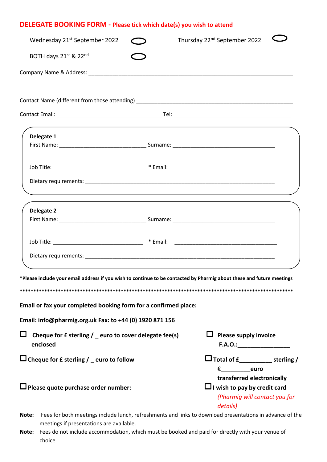### **DELEGATE BOOKING FORM - Please tick which date(s) you wish to attend**

| Wednesday 21 <sup>st</sup> September 2022                                                                                                                                                | Thursday 22 <sup>nd</sup> September 2022                                                                       |
|------------------------------------------------------------------------------------------------------------------------------------------------------------------------------------------|----------------------------------------------------------------------------------------------------------------|
| BOTH days 21st & 22nd                                                                                                                                                                    |                                                                                                                |
|                                                                                                                                                                                          |                                                                                                                |
|                                                                                                                                                                                          |                                                                                                                |
|                                                                                                                                                                                          |                                                                                                                |
| Delegate 1                                                                                                                                                                               |                                                                                                                |
| ,我们也不会有什么。""我们的人,我们也不会有什么?""我们的人,我们也不会有什么?""我们的人,我们也不会有什么?""我们的人,我们也不会有什么?""我们的人                                                                                                         |                                                                                                                |
| Delegate 2                                                                                                                                                                               |                                                                                                                |
|                                                                                                                                                                                          |                                                                                                                |
| *Please include your email address if you wish to continue to be contacted by Pharmig about these and future meetings<br>Email or fax your completed booking form for a confirmed place: |                                                                                                                |
| Email: info@pharmig.org.uk Fax: to +44 (0) 1920 871 156                                                                                                                                  |                                                                                                                |
| $\Box$<br>Cheque for £ sterling / euro to cover delegate fee(s)<br>enclosed                                                                                                              | Please supply invoice<br>F.A.O.:                                                                               |
| $\Box$ Cheque for £ sterling / _ euro to follow                                                                                                                                          | LJ Total of £____________ sterling /<br>$\epsilon$ euro                                                        |
| $\square$ Please quote purchase order number:                                                                                                                                            | transferred electronically<br>$\Box$ I wish to pay by credit card<br>(Pharmig will contact you for<br>details) |
| Fees for both meetings include lunch, refreshments and links to download presentations in advance of the<br>Note:<br>meetings if presentations are available.                            |                                                                                                                |

**Note:** Fees do not include accommodation, which must be booked and paid for directly with your venue of choice